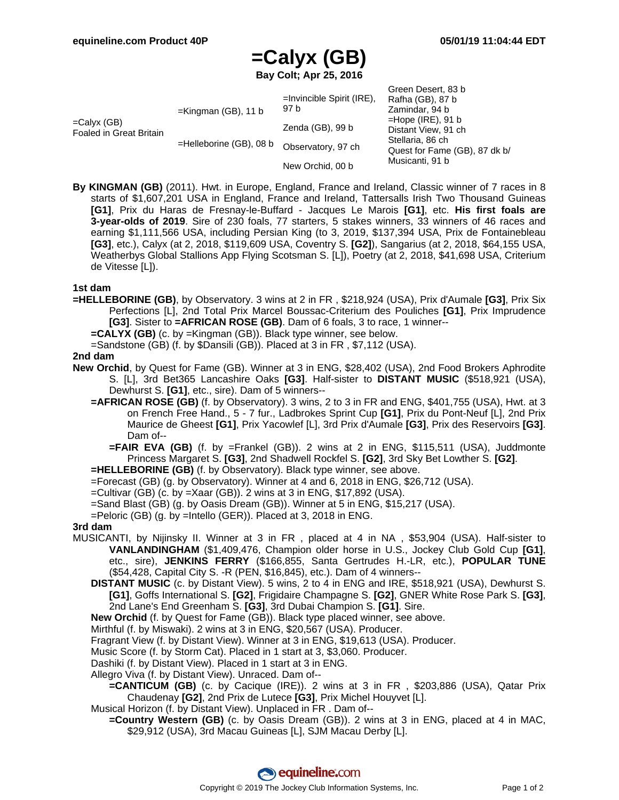Green Desert, 83 b

# **=Calyx (GB)**

**Bay Colt; Apr 25, 2016**

|                                                  |                                                      |                                                          | OIGGII DESCII. OJ D                     |
|--------------------------------------------------|------------------------------------------------------|----------------------------------------------------------|-----------------------------------------|
| $=$ Calyx (GB)<br><b>Foaled in Great Britain</b> | $=$ Kingman (GB), 11 b<br>$=$ Helleborine (GB), 08 b | $=$ Invincible Spirit (IRE),<br>97 b<br>Zenda (GB), 99 b | Rafha (GB), 87 b                        |
|                                                  |                                                      |                                                          | Zamindar, 94 b                          |
|                                                  |                                                      |                                                          | $=$ Hope (IRE), 91 b                    |
|                                                  |                                                      |                                                          | Distant View, 91 ch<br>Stellaria, 86 ch |
|                                                  |                                                      | Observatory, 97 ch<br>New Orchid, 00 b                   |                                         |
|                                                  |                                                      |                                                          | Quest for Fame (GB), 87 dk b/           |
|                                                  |                                                      |                                                          | Musicanti, 91 b                         |
|                                                  |                                                      |                                                          |                                         |

**By KINGMAN (GB)** (2011). Hwt. in Europe, England, France and Ireland, Classic winner of 7 races in 8 starts of \$1,607,201 USA in England, France and Ireland, Tattersalls Irish Two Thousand Guineas **[G1]**, Prix du Haras de Fresnay-le-Buffard - Jacques Le Marois **[G1]**, etc. **His first foals are 3-year-olds of 2019**. Sire of 230 foals, 77 starters, 5 stakes winners, 33 winners of 46 races and earning \$1,111,566 USA, including Persian King (to 3, 2019, \$137,394 USA, Prix de Fontainebleau **[G3]**, etc.), Calyx (at 2, 2018, \$119,609 USA, Coventry S. **[G2]**), Sangarius (at 2, 2018, \$64,155 USA, Weatherbys Global Stallions App Flying Scotsman S. [L]), Poetry (at 2, 2018, \$41,698 USA, Criterium de Vitesse [L]).

### **1st dam**

**=HELLEBORINE (GB)**, by Observatory. 3 wins at 2 in FR , \$218,924 (USA), Prix d'Aumale **[G3]**, Prix Six Perfections [L], 2nd Total Prix Marcel Boussac-Criterium des Pouliches **[G1]**, Prix Imprudence **[G3]**. Sister to **=AFRICAN ROSE (GB)**. Dam of 6 foals, 3 to race, 1 winner--

**=CALYX (GB)** (c. by =Kingman (GB)). Black type winner, see below.

=Sandstone (GB) (f. by \$Dansili (GB)). Placed at 3 in FR , \$7,112 (USA).

### **2nd dam**

- **New Orchid**, by Quest for Fame (GB). Winner at 3 in ENG, \$28,402 (USA), 2nd Food Brokers Aphrodite S. [L], 3rd Bet365 Lancashire Oaks **[G3]**. Half-sister to **DISTANT MUSIC** (\$518,921 (USA), Dewhurst S. **[G1]**, etc., sire). Dam of 5 winners--
	- **=AFRICAN ROSE (GB)** (f. by Observatory). 3 wins, 2 to 3 in FR and ENG, \$401,755 (USA), Hwt. at 3 on French Free Hand., 5 - 7 fur., Ladbrokes Sprint Cup **[G1]**, Prix du Pont-Neuf [L], 2nd Prix Maurice de Gheest **[G1]**, Prix Yacowlef [L], 3rd Prix d'Aumale **[G3]**, Prix des Reservoirs **[G3]**. Dam of--
		- **=FAIR EVA (GB)** (f. by =Frankel (GB)). 2 wins at 2 in ENG, \$115,511 (USA), Juddmonte Princess Margaret S. **[G3]**, 2nd Shadwell Rockfel S. **[G2]**, 3rd Sky Bet Lowther S. **[G2]**.

**=HELLEBORINE (GB)** (f. by Observatory). Black type winner, see above.

- =Forecast (GB) (g. by Observatory). Winner at 4 and 6, 2018 in ENG, \$26,712 (USA).
- =Cultivar (GB) (c. by =Xaar (GB)). 2 wins at 3 in ENG, \$17,892 (USA).
- =Sand Blast (GB) (g. by Oasis Dream (GB)). Winner at 5 in ENG, \$15,217 (USA).
- =Peloric (GB) (g. by =Intello (GER)). Placed at 3, 2018 in ENG.

#### **3rd dam**

- MUSICANTI, by Nijinsky II. Winner at 3 in FR , placed at 4 in NA , \$53,904 (USA). Half-sister to **VANLANDINGHAM** (\$1,409,476, Champion older horse in U.S., Jockey Club Gold Cup **[G1]**, etc., sire), **JENKINS FERRY** (\$166,855, Santa Gertrudes H.-LR, etc.), **POPULAR TUNE** (\$54,428, Capital City S. -R (PEN, \$16,845), etc.). Dam of 4 winners--
	- **DISTANT MUSIC** (c. by Distant View). 5 wins, 2 to 4 in ENG and IRE, \$518,921 (USA), Dewhurst S. **[G1]**, Goffs International S. **[G2]**, Frigidaire Champagne S. **[G2]**, GNER White Rose Park S. **[G3]**, 2nd Lane's End Greenham S. **[G3]**, 3rd Dubai Champion S. **[G1]**. Sire.
	- **New Orchid** (f. by Quest for Fame (GB)). Black type placed winner, see above.
	- Mirthful (f. by Miswaki). 2 wins at 3 in ENG, \$20,567 (USA). Producer.
	- Fragrant View (f. by Distant View). Winner at 3 in ENG, \$19,613 (USA). Producer.
	- Music Score (f. by Storm Cat). Placed in 1 start at 3, \$3,060. Producer.
	- Dashiki (f. by Distant View). Placed in 1 start at 3 in ENG.
	- Allegro Viva (f. by Distant View). Unraced. Dam of--
		- **=CANTICUM (GB)** (c. by Cacique (IRE)). 2 wins at 3 in FR , \$203,886 (USA), Qatar Prix Chaudenay **[G2]**, 2nd Prix de Lutece **[G3]**, Prix Michel Houyvet [L].
	- Musical Horizon (f. by Distant View). Unplaced in FR . Dam of--
		- **=Country Western (GB)** (c. by Oasis Dream (GB)). 2 wins at 3 in ENG, placed at 4 in MAC, \$29,912 (USA), 3rd Macau Guineas [L], SJM Macau Derby [L].